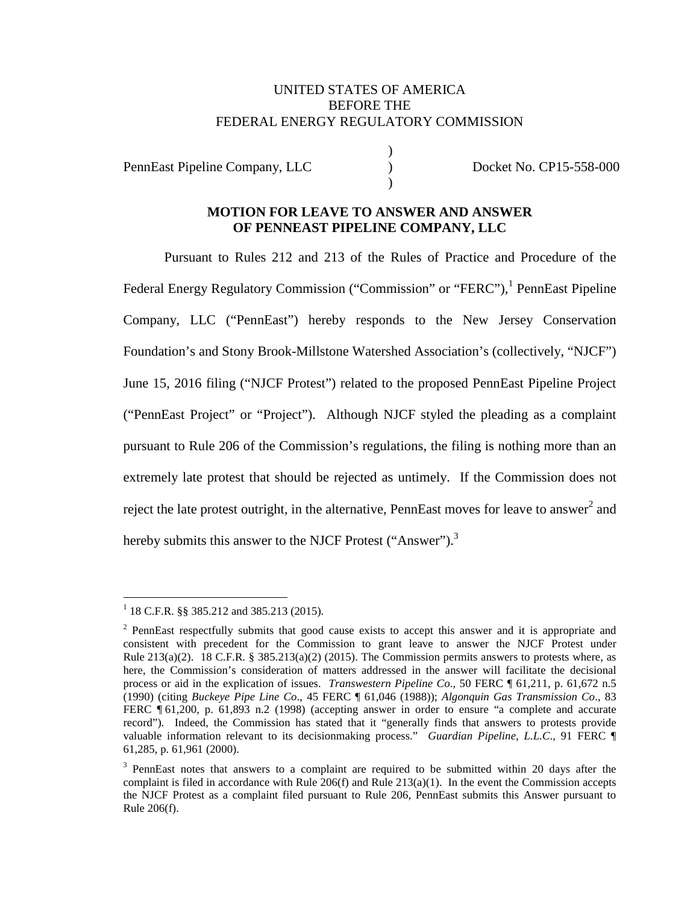### UNITED STATES OF AMERICA BEFORE THE FEDERAL ENERGY REGULATORY COMMISSION

)

 $\lambda$ 

PennEast Pipeline Company, LLC (Department of Docket No. CP15-558-000)

### **MOTION FOR LEAVE TO ANSWER AND ANSWER OF PENNEAST PIPELINE COMPANY, LLC**

Pursuant to Rules 212 and 213 of the Rules of Practice and Procedure of the Federal Energy Regulatory Commission ("Commission" or "FERC"),<sup>1</sup> PennEast Pipeline Company, LLC ("PennEast") hereby responds to the New Jersey Conservation Foundation's and Stony Brook-Millstone Watershed Association's (collectively, "NJCF") June 15, 2016 filing ("NJCF Protest") related to the proposed PennEast Pipeline Project ("PennEast Project" or "Project"). Although NJCF styled the pleading as a complaint pursuant to Rule 206 of the Commission's regulations, the filing is nothing more than an extremely late protest that should be rejected as untimely. If the Commission does not reject the late protest outright, in the alternative, PennEast moves for leave to answer<sup>2</sup> and hereby submits this answer to the NJCF Protest ("Answer").<sup>3</sup>

<sup>&</sup>lt;sup>1</sup> 18 C.F.R. §§ 385.212 and 385.213 (2015).

 $2$  PennEast respectfully submits that good cause exists to accept this answer and it is appropriate and consistent with precedent for the Commission to grant leave to answer the NJCF Protest under Rule  $213(a)(2)$ . 18 C.F.R. §  $385.213(a)(2)$  (2015). The Commission permits answers to protests where, as here, the Commission's consideration of matters addressed in the answer will facilitate the decisional process or aid in the explication of issues. *Transwestern Pipeline Co*., 50 FERC ¶ 61,211, p. 61,672 n.5 (1990) (citing *Buckeye Pipe Line Co*., 45 FERC ¶ 61,046 (1988)); *Algonquin Gas Transmission Co*., 83 FERC ¶ 61,200, p. 61,893 n.2 (1998) (accepting answer in order to ensure "a complete and accurate record"). Indeed, the Commission has stated that it "generally finds that answers to protests provide valuable information relevant to its decisionmaking process." *Guardian Pipeline, L.L.C*., 91 FERC ¶ 61,285, p. 61,961 (2000).

 $3$  PennEast notes that answers to a complaint are required to be submitted within 20 days after the complaint is filed in accordance with Rule  $206(f)$  and Rule  $213(a)(1)$ . In the event the Commission accepts the NJCF Protest as a complaint filed pursuant to Rule 206, PennEast submits this Answer pursuant to Rule 206(f).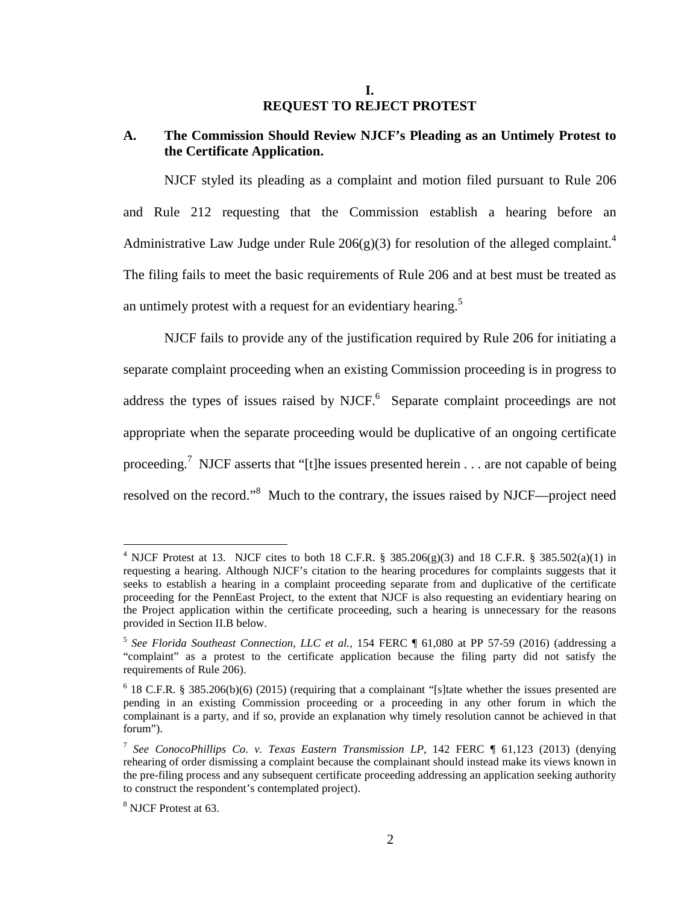#### **I. REQUEST TO REJECT PROTEST**

### **A. The Commission Should Review NJCF's Pleading as an Untimely Protest to the Certificate Application.**

NJCF styled its pleading as a complaint and motion filed pursuant to Rule 206 and Rule 212 requesting that the Commission establish a hearing before an Administrative Law Judge under Rule 206(g)(3) for resolution of the alleged complaint.<sup>4</sup> The filing fails to meet the basic requirements of Rule 206 and at best must be treated as an untimely protest with a request for an evidentiary hearing.<sup>5</sup>

NJCF fails to provide any of the justification required by Rule 206 for initiating a separate complaint proceeding when an existing Commission proceeding is in progress to address the types of issues raised by NJCF. $<sup>6</sup>$  Separate complaint proceedings are not</sup> appropriate when the separate proceeding would be duplicative of an ongoing certificate proceeding.<sup>7</sup> NJCF asserts that "[t]he issues presented herein . . . are not capable of being resolved on the record."<sup>8</sup> Much to the contrary, the issues raised by NJCF—project need

<sup>&</sup>lt;sup>4</sup> NJCF Protest at 13. NJCF cites to both 18 C.F.R. § 385.206(g)(3) and 18 C.F.R. § 385.502(a)(1) in requesting a hearing. Although NJCF's citation to the hearing procedures for complaints suggests that it seeks to establish a hearing in a complaint proceeding separate from and duplicative of the certificate proceeding for the PennEast Project, to the extent that NJCF is also requesting an evidentiary hearing on the Project application within the certificate proceeding, such a hearing is unnecessary for the reasons provided in Section II.B below.

<sup>&</sup>lt;sup>5</sup> See Florida Southeast Connection, LLC et al., 154 FERC ¶ 61,080 at PP 57-59 (2016) (addressing a "complaint" as a protest to the certificate application because the filing party did not satisfy the requirements of Rule 206).

 $6$  18 C.F.R. § 385.206(b)(6) (2015) (requiring that a complainant "[s]tate whether the issues presented are pending in an existing Commission proceeding or a proceeding in any other forum in which the complainant is a party, and if so, provide an explanation why timely resolution cannot be achieved in that forum").

<sup>&</sup>lt;sup>7</sup> See ConocoPhillips Co. v. Texas Eastern Transmission LP, 142 FERC ¶ 61,123 (2013) (denying rehearing of order dismissing a complaint because the complainant should instead make its views known in the pre-filing process and any subsequent certificate proceeding addressing an application seeking authority to construct the respondent's contemplated project).

<sup>8</sup> NJCF Protest at 63.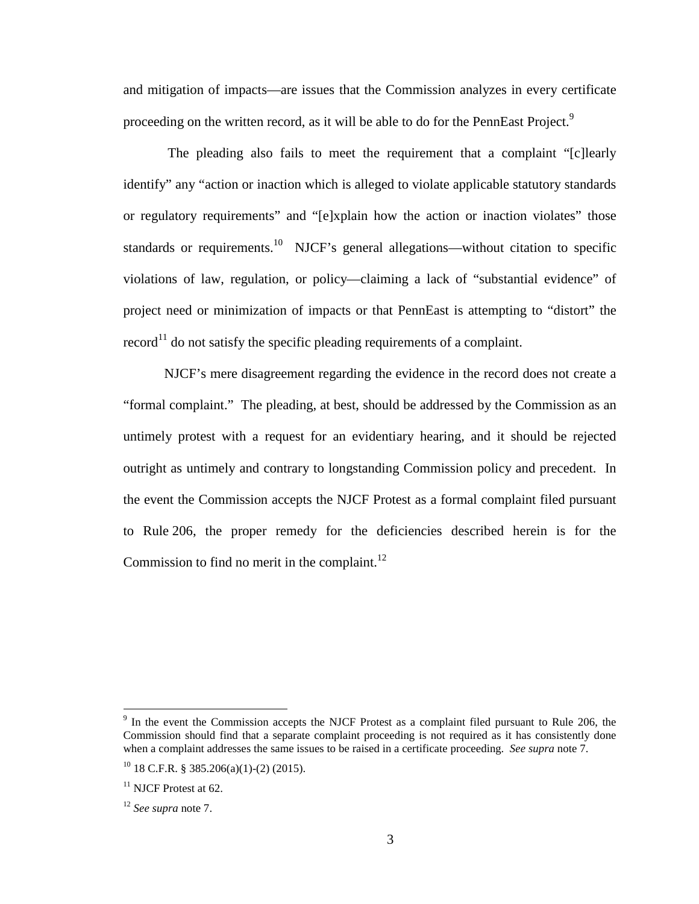and mitigation of impacts—are issues that the Commission analyzes in every certificate proceeding on the written record, as it will be able to do for the PennEast Project.<sup>9</sup>

 The pleading also fails to meet the requirement that a complaint "[c]learly identify" any "action or inaction which is alleged to violate applicable statutory standards or regulatory requirements" and "[e]xplain how the action or inaction violates" those standards or requirements.<sup>10</sup> NJCF's general allegations—without citation to specific violations of law, regulation, or policy—claiming a lack of "substantial evidence" of project need or minimization of impacts or that PennEast is attempting to "distort" the  $record<sup>11</sup>$  do not satisfy the specific pleading requirements of a complaint.

NJCF's mere disagreement regarding the evidence in the record does not create a "formal complaint." The pleading, at best, should be addressed by the Commission as an untimely protest with a request for an evidentiary hearing, and it should be rejected outright as untimely and contrary to longstanding Commission policy and precedent. In the event the Commission accepts the NJCF Protest as a formal complaint filed pursuant to Rule 206, the proper remedy for the deficiencies described herein is for the Commission to find no merit in the complaint. $^{12}$ 

<sup>&</sup>lt;sup>9</sup> In the event the Commission accepts the NJCF Protest as a complaint filed pursuant to Rule 206, the Commission should find that a separate complaint proceeding is not required as it has consistently done when a complaint addresses the same issues to be raised in a certificate proceeding. *See supra* note 7.

 $10$  18 C.F.R. § 385.206(a)(1)-(2) (2015).

 $11$  NJCF Protest at 62.

<sup>12</sup> *See supra* note 7.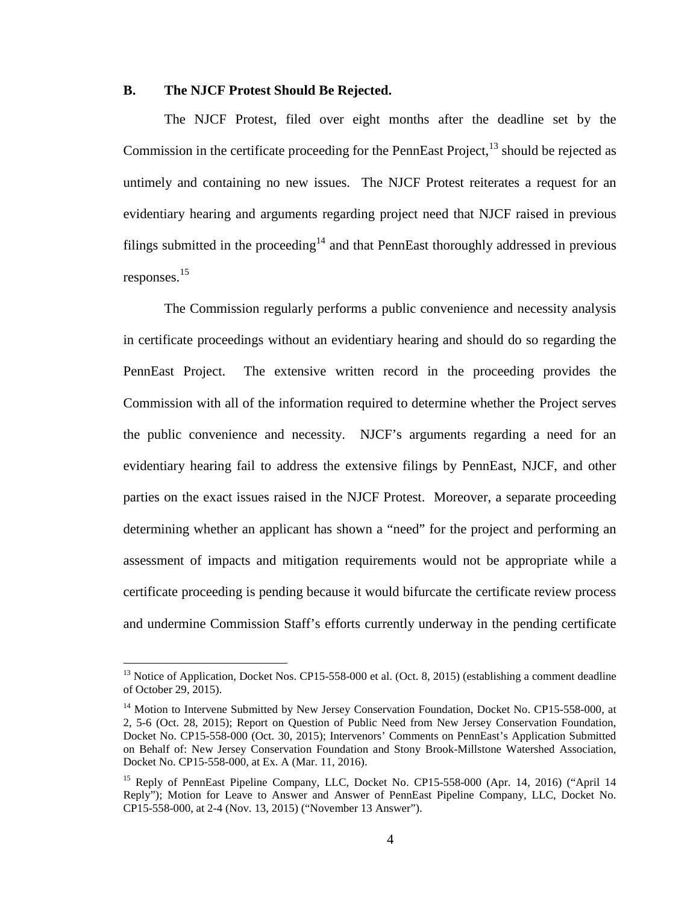#### **B. The NJCF Protest Should Be Rejected.**

The NJCF Protest, filed over eight months after the deadline set by the Commission in the certificate proceeding for the PennEast Project, $^{13}$  should be rejected as untimely and containing no new issues. The NJCF Protest reiterates a request for an evidentiary hearing and arguments regarding project need that NJCF raised in previous filings submitted in the proceeding<sup>14</sup> and that PennEast thoroughly addressed in previous responses. 15

The Commission regularly performs a public convenience and necessity analysis in certificate proceedings without an evidentiary hearing and should do so regarding the PennEast Project. The extensive written record in the proceeding provides the Commission with all of the information required to determine whether the Project serves the public convenience and necessity. NJCF's arguments regarding a need for an evidentiary hearing fail to address the extensive filings by PennEast, NJCF, and other parties on the exact issues raised in the NJCF Protest. Moreover, a separate proceeding determining whether an applicant has shown a "need" for the project and performing an assessment of impacts and mitigation requirements would not be appropriate while a certificate proceeding is pending because it would bifurcate the certificate review process and undermine Commission Staff's efforts currently underway in the pending certificate

<sup>&</sup>lt;sup>13</sup> Notice of Application, Docket Nos. CP15-558-000 et al. (Oct. 8, 2015) (establishing a comment deadline of October 29, 2015).

<sup>&</sup>lt;sup>14</sup> Motion to Intervene Submitted by New Jersey Conservation Foundation, Docket No. CP15-558-000, at 2, 5-6 (Oct. 28, 2015); Report on Question of Public Need from New Jersey Conservation Foundation, Docket No. CP15-558-000 (Oct. 30, 2015); Intervenors' Comments on PennEast's Application Submitted on Behalf of: New Jersey Conservation Foundation and Stony Brook-Millstone Watershed Association, Docket No. CP15-558-000, at Ex. A (Mar. 11, 2016).

<sup>&</sup>lt;sup>15</sup> Reply of PennEast Pipeline Company, LLC, Docket No. CP15-558-000 (Apr. 14, 2016) ("April 14 Reply"); Motion for Leave to Answer and Answer of PennEast Pipeline Company, LLC, Docket No. CP15-558-000, at 2-4 (Nov. 13, 2015) ("November 13 Answer").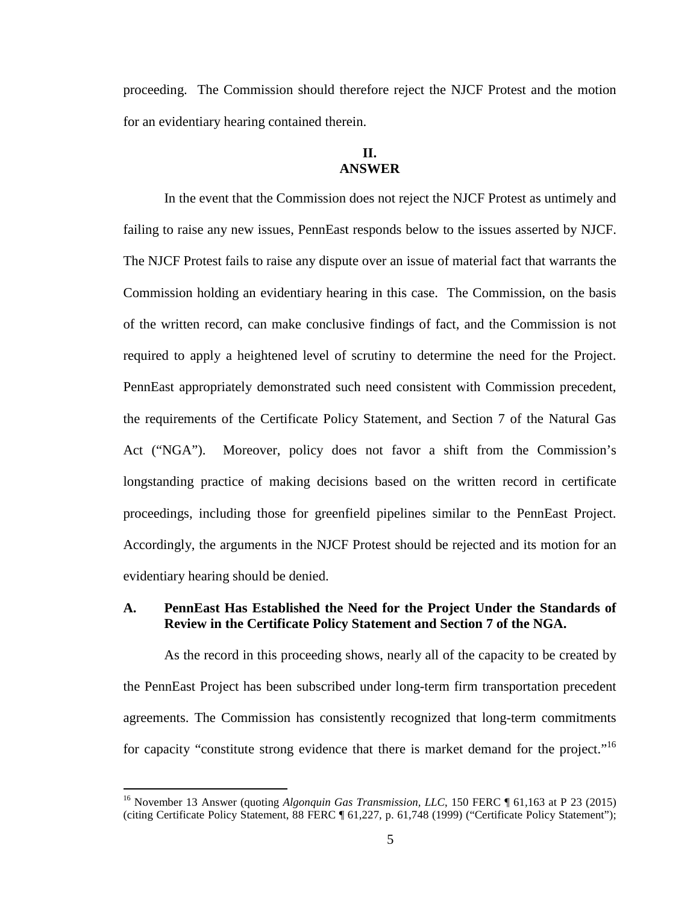proceeding. The Commission should therefore reject the NJCF Protest and the motion for an evidentiary hearing contained therein.

# **II. ANSWER**

In the event that the Commission does not reject the NJCF Protest as untimely and failing to raise any new issues, PennEast responds below to the issues asserted by NJCF. The NJCF Protest fails to raise any dispute over an issue of material fact that warrants the Commission holding an evidentiary hearing in this case. The Commission, on the basis of the written record, can make conclusive findings of fact, and the Commission is not required to apply a heightened level of scrutiny to determine the need for the Project. PennEast appropriately demonstrated such need consistent with Commission precedent, the requirements of the Certificate Policy Statement, and Section 7 of the Natural Gas Act ("NGA"). Moreover, policy does not favor a shift from the Commission's longstanding practice of making decisions based on the written record in certificate proceedings, including those for greenfield pipelines similar to the PennEast Project. Accordingly, the arguments in the NJCF Protest should be rejected and its motion for an evidentiary hearing should be denied.

### **A. PennEast Has Established the Need for the Project Under the Standards of Review in the Certificate Policy Statement and Section 7 of the NGA.**

As the record in this proceeding shows, nearly all of the capacity to be created by the PennEast Project has been subscribed under long-term firm transportation precedent agreements. The Commission has consistently recognized that long-term commitments for capacity "constitute strong evidence that there is market demand for the project."<sup>16</sup>

<sup>&</sup>lt;sup>16</sup> November 13 Answer (quoting *Algonquin Gas Transmission, LLC, 150 FERC* ¶ 61,163 at P 23 (2015) (citing Certificate Policy Statement, 88 FERC ¶ 61,227, p. 61,748 (1999) ("Certificate Policy Statement");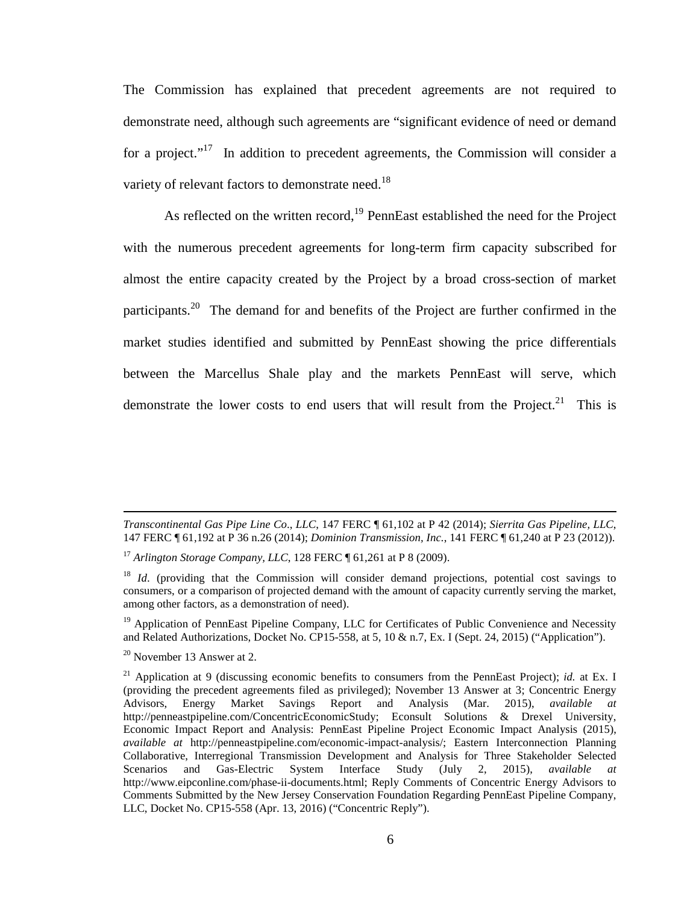The Commission has explained that precedent agreements are not required to demonstrate need, although such agreements are "significant evidence of need or demand for a project."<sup>17</sup> In addition to precedent agreements, the Commission will consider a variety of relevant factors to demonstrate need.<sup>18</sup>

As reflected on the written record, $19$  PennEast established the need for the Project with the numerous precedent agreements for long-term firm capacity subscribed for almost the entire capacity created by the Project by a broad cross-section of market participants.<sup>20</sup> The demand for and benefits of the Project are further confirmed in the market studies identified and submitted by PennEast showing the price differentials between the Marcellus Shale play and the markets PennEast will serve, which demonstrate the lower costs to end users that will result from the Project.<sup>21</sup> This is

*Transcontinental Gas Pipe Line Co*., *LLC*, 147 FERC ¶ 61,102 at P 42 (2014); *Sierrita Gas Pipeline, LLC*, 147 FERC ¶ 61,192 at P 36 n.26 (2014); *Dominion Transmission, Inc.*, 141 FERC ¶ 61,240 at P 23 (2012)).

<sup>17</sup> *Arlington Storage Company, LLC*, 128 FERC ¶ 61,261 at P 8 (2009).

<sup>&</sup>lt;sup>18</sup> *Id.* (providing that the Commission will consider demand projections, potential cost savings to consumers, or a comparison of projected demand with the amount of capacity currently serving the market, among other factors, as a demonstration of need).

 $19$  Application of PennEast Pipeline Company, LLC for Certificates of Public Convenience and Necessity and Related Authorizations, Docket No. CP15-558, at 5, 10 & n.7, Ex. I (Sept. 24, 2015) ("Application").

 $20$  November 13 Answer at 2.

<sup>21</sup> Application at 9 (discussing economic benefits to consumers from the PennEast Project); *id.* at Ex. I (providing the precedent agreements filed as privileged); November 13 Answer at 3; Concentric Energy Advisors, Energy Market Savings Report and Analysis (Mar. 2015), *available at* http://penneastpipeline.com/ConcentricEconomicStudy; Econsult Solutions & Drexel University, Economic Impact Report and Analysis: PennEast Pipeline Project Economic Impact Analysis (2015), *available at* http://penneastpipeline.com/economic-impact-analysis/; Eastern Interconnection Planning Collaborative, Interregional Transmission Development and Analysis for Three Stakeholder Selected Scenarios and Gas-Electric System Interface Study (July 2, 2015), *available at*  http://www.eipconline.com/phase-ii-documents.html; Reply Comments of Concentric Energy Advisors to Comments Submitted by the New Jersey Conservation Foundation Regarding PennEast Pipeline Company, LLC, Docket No. CP15-558 (Apr. 13, 2016) ("Concentric Reply").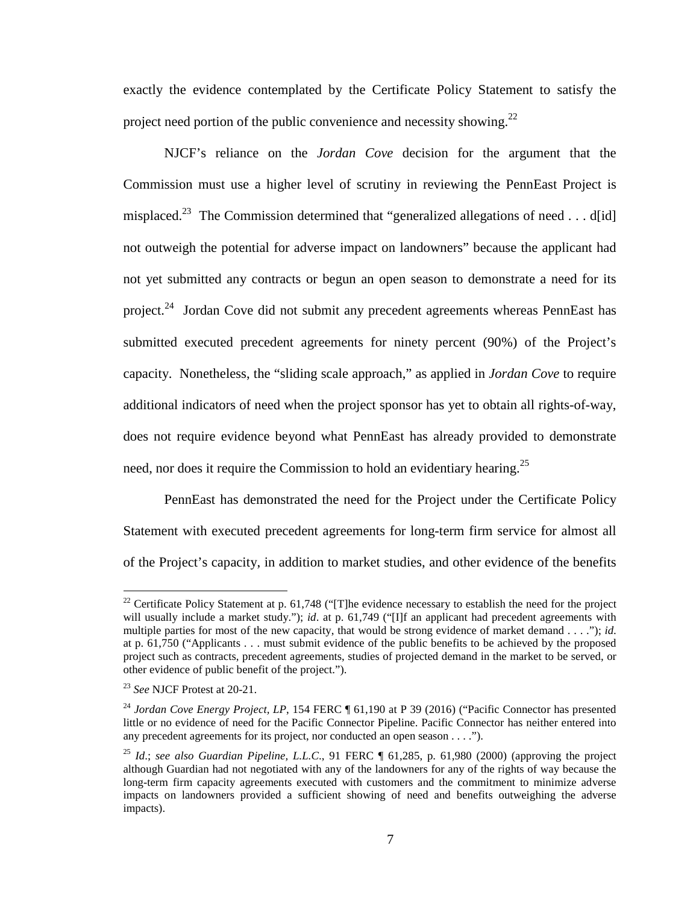exactly the evidence contemplated by the Certificate Policy Statement to satisfy the project need portion of the public convenience and necessity showing. $^{22}$ 

NJCF's reliance on the *Jordan Cove* decision for the argument that the Commission must use a higher level of scrutiny in reviewing the PennEast Project is misplaced.<sup>23</sup> The Commission determined that "generalized allegations of need . . . d[id] not outweigh the potential for adverse impact on landowners" because the applicant had not yet submitted any contracts or begun an open season to demonstrate a need for its project.<sup>24</sup> Jordan Cove did not submit any precedent agreements whereas PennEast has submitted executed precedent agreements for ninety percent (90%) of the Project's capacity. Nonetheless, the "sliding scale approach," as applied in *Jordan Cove* to require additional indicators of need when the project sponsor has yet to obtain all rights-of-way, does not require evidence beyond what PennEast has already provided to demonstrate need, nor does it require the Commission to hold an evidentiary hearing.<sup>25</sup>

PennEast has demonstrated the need for the Project under the Certificate Policy Statement with executed precedent agreements for long-term firm service for almost all of the Project's capacity, in addition to market studies, and other evidence of the benefits

<sup>&</sup>lt;sup>22</sup> Certificate Policy Statement at p. 61,748 ("[T]he evidence necessary to establish the need for the project will usually include a market study."); *id.* at p. 61,749 ("[I]f an applicant had precedent agreements with multiple parties for most of the new capacity, that would be strong evidence of market demand . . . ."); *id*. at p. 61,750 ("Applicants . . . must submit evidence of the public benefits to be achieved by the proposed project such as contracts, precedent agreements, studies of projected demand in the market to be served, or other evidence of public benefit of the project.").

<sup>23</sup> *See* NJCF Protest at 20-21.

<sup>&</sup>lt;sup>24</sup> *Jordan Cove Energy Project, LP*, 154 FERC ¶ 61,190 at P 39 (2016) ("Pacific Connector has presented little or no evidence of need for the Pacific Connector Pipeline. Pacific Connector has neither entered into any precedent agreements for its project, nor conducted an open season . . . .").

<sup>25</sup> *Id*.; *see also Guardian Pipeline, L.L.C*., 91 FERC ¶ 61,285, p. 61,980 (2000) (approving the project although Guardian had not negotiated with any of the landowners for any of the rights of way because the long-term firm capacity agreements executed with customers and the commitment to minimize adverse impacts on landowners provided a sufficient showing of need and benefits outweighing the adverse impacts).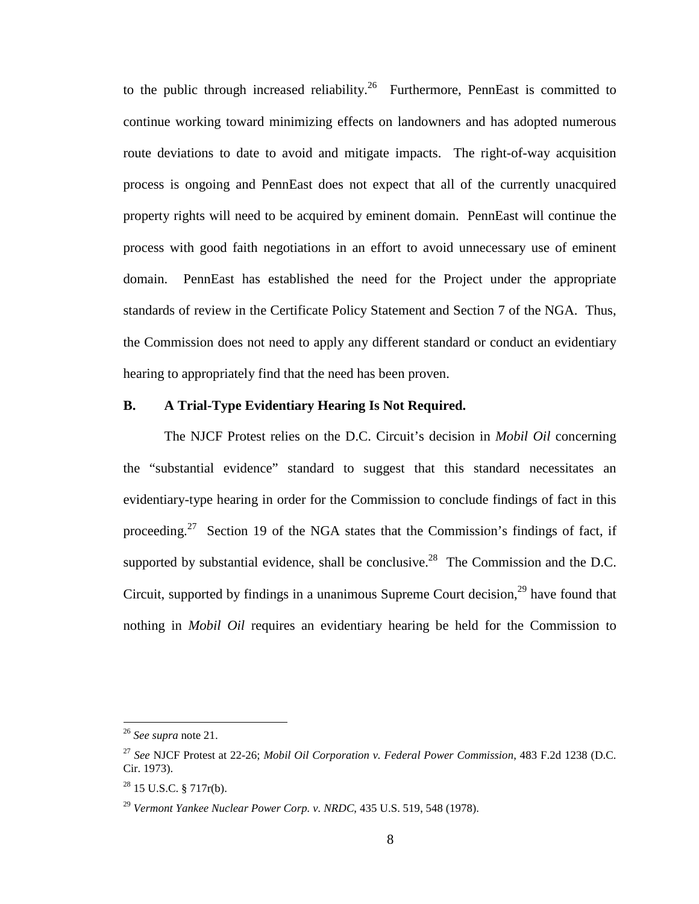to the public through increased reliability.<sup>26</sup> Furthermore, PennEast is committed to continue working toward minimizing effects on landowners and has adopted numerous route deviations to date to avoid and mitigate impacts. The right-of-way acquisition process is ongoing and PennEast does not expect that all of the currently unacquired property rights will need to be acquired by eminent domain. PennEast will continue the process with good faith negotiations in an effort to avoid unnecessary use of eminent domain. PennEast has established the need for the Project under the appropriate standards of review in the Certificate Policy Statement and Section 7 of the NGA. Thus, the Commission does not need to apply any different standard or conduct an evidentiary hearing to appropriately find that the need has been proven.

#### **B. A Trial-Type Evidentiary Hearing Is Not Required.**

The NJCF Protest relies on the D.C. Circuit's decision in *Mobil Oil* concerning the "substantial evidence" standard to suggest that this standard necessitates an evidentiary-type hearing in order for the Commission to conclude findings of fact in this proceeding.<sup>27</sup> Section 19 of the NGA states that the Commission's findings of fact, if supported by substantial evidence, shall be conclusive.<sup>28</sup> The Commission and the D.C. Circuit, supported by findings in a unanimous Supreme Court decision, $^{29}$  have found that nothing in *Mobil Oil* requires an evidentiary hearing be held for the Commission to

<sup>26</sup> *See supra* note 21.

<sup>27</sup> *See* NJCF Protest at 22-26; *Mobil Oil Corporation v. Federal Power Commission*, 483 F.2d 1238 (D.C. Cir. 1973).

 $^{28}$  15 U.S.C. § 717r(b).

<sup>29</sup> *Vermont Yankee Nuclear Power Corp. v. NRDC*, 435 U.S. 519, 548 (1978).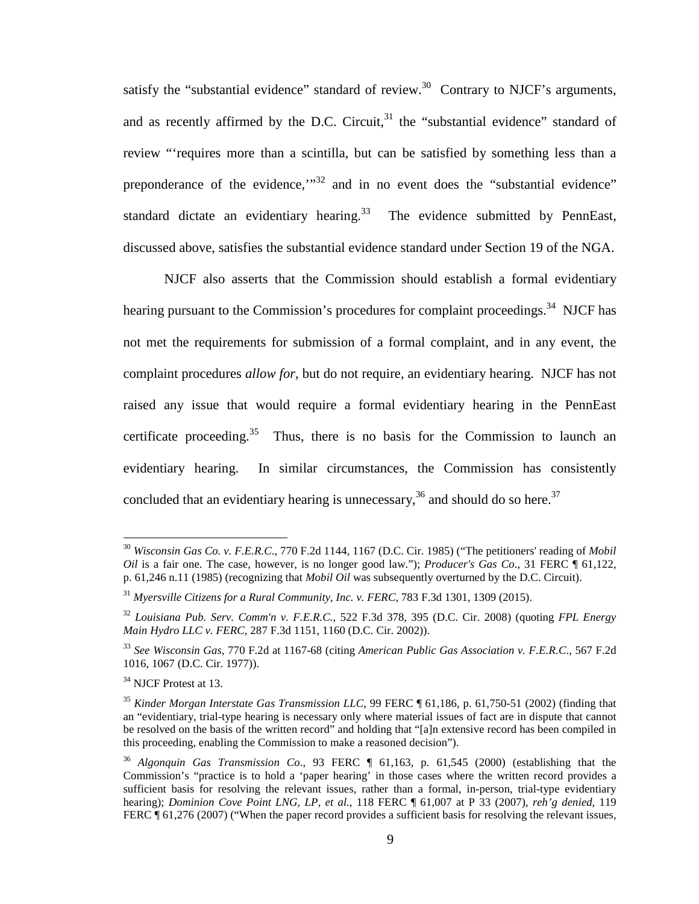satisfy the "substantial evidence" standard of review.<sup>30</sup> Contrary to NJCF's arguments, and as recently affirmed by the D.C. Circuit, $3<sup>1</sup>$  the "substantial evidence" standard of review "'requires more than a scintilla, but can be satisfied by something less than a preponderance of the evidence,"<sup>32</sup> and in no event does the "substantial evidence" standard dictate an evidentiary hearing.<sup>33</sup> The evidence submitted by PennEast, discussed above, satisfies the substantial evidence standard under Section 19 of the NGA.

NJCF also asserts that the Commission should establish a formal evidentiary hearing pursuant to the Commission's procedures for complaint proceedings.<sup>34</sup> NJCF has not met the requirements for submission of a formal complaint, and in any event, the complaint procedures *allow for*, but do not require, an evidentiary hearing. NJCF has not raised any issue that would require a formal evidentiary hearing in the PennEast certificate proceeding.<sup>35</sup> Thus, there is no basis for the Commission to launch an evidentiary hearing. In similar circumstances, the Commission has consistently concluded that an evidentiary hearing is unnecessary,<sup>36</sup> and should do so here.<sup>37</sup>

<sup>30</sup> *Wisconsin Gas Co. v. F.E.R.C*., 770 F.2d 1144, 1167 (D.C. Cir. 1985) ("The petitioners' reading of *Mobil Oil* is a fair one. The case, however, is no longer good law."); *Producer's Gas Co*., 31 FERC ¶ 61,122, p. 61,246 n.11 (1985) (recognizing that *Mobil Oil* was subsequently overturned by the D.C. Circuit).

<sup>31</sup> *Myersville Citizens for a Rural Community, Inc. v. FERC*, 783 F.3d 1301, 1309 (2015).

<sup>32</sup> *Louisiana Pub. Serv. Comm'n v. F.E.R.C.*, 522 F.3d 378, 395 (D.C. Cir. 2008) (quoting *FPL Energy Main Hydro LLC v. FERC*, 287 F.3d 1151, 1160 (D.C. Cir. 2002)).

<sup>33</sup> *See Wisconsin Gas*, 770 F.2d at 1167-68 (citing *American Public Gas Association v. F.E.R.C*., 567 F.2d 1016, 1067 (D.C. Cir. 1977)).

<sup>&</sup>lt;sup>34</sup> NJCF Protest at 13.

<sup>35</sup> *Kinder Morgan Interstate Gas Transmission LLC*, 99 FERC ¶ 61,186, p. 61,750-51 (2002) (finding that an "evidentiary, trial-type hearing is necessary only where material issues of fact are in dispute that cannot be resolved on the basis of the written record" and holding that "[a]n extensive record has been compiled in this proceeding, enabling the Commission to make a reasoned decision").

<sup>36</sup> *Algonquin Gas Transmission Co*., 93 FERC ¶ 61,163, p. 61,545 (2000) (establishing that the Commission's "practice is to hold a 'paper hearing' in those cases where the written record provides a sufficient basis for resolving the relevant issues, rather than a formal, in-person, trial-type evidentiary hearing); *Dominion Cove Point LNG, LP, et al.*, 118 FERC ¶ 61,007 at P 33 (2007), *reh'g denied*, 119 FERC  $\parallel$  61,276 (2007) ("When the paper record provides a sufficient basis for resolving the relevant issues,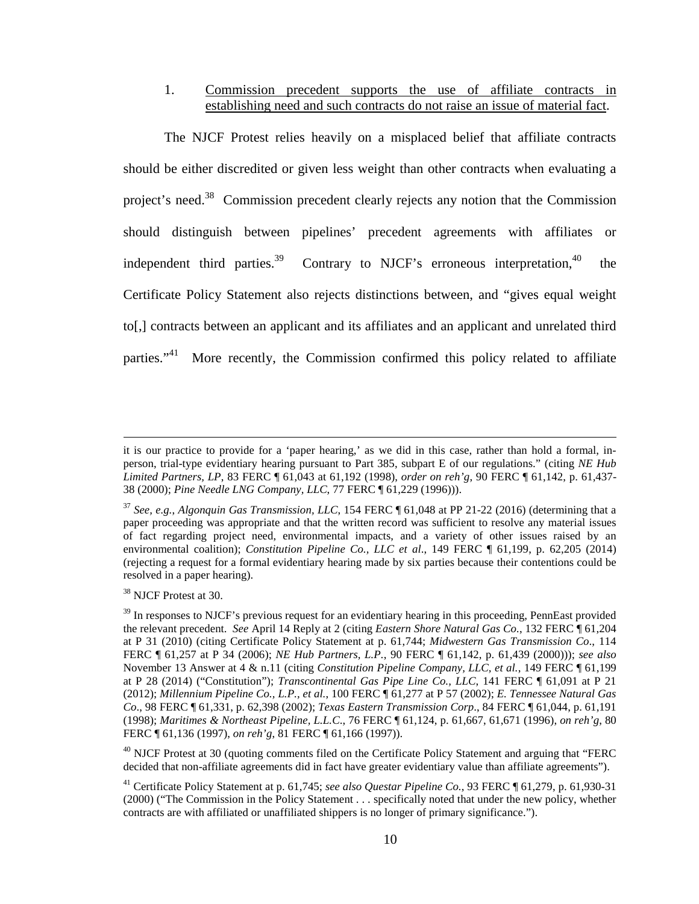### 1. Commission precedent supports the use of affiliate contracts in establishing need and such contracts do not raise an issue of material fact.

The NJCF Protest relies heavily on a misplaced belief that affiliate contracts should be either discredited or given less weight than other contracts when evaluating a project's need.<sup>38</sup> Commission precedent clearly rejects any notion that the Commission should distinguish between pipelines' precedent agreements with affiliates or independent third parties.<sup>39</sup> Contrary to NJCF's erroneous interpretation,<sup>40</sup> the Certificate Policy Statement also rejects distinctions between, and "gives equal weight to[,] contracts between an applicant and its affiliates and an applicant and unrelated third parties."<sup>41</sup> More recently, the Commission confirmed this policy related to affiliate

<sup>38</sup> NJCF Protest at 30.

it is our practice to provide for a 'paper hearing,' as we did in this case, rather than hold a formal, inperson, trial-type evidentiary hearing pursuant to Part 385, subpart E of our regulations." (citing *NE Hub Limited Partners, LP*, 83 FERC ¶ 61,043 at 61,192 (1998), *order on reh'g*, 90 FERC ¶ 61,142, p. 61,437- 38 (2000); *Pine Needle LNG Company, LLC*, 77 FERC ¶ 61,229 (1996))).

<sup>37</sup> *See, e.g.*, *Algonquin Gas Transmission, LLC*, 154 FERC ¶ 61,048 at PP 21-22 (2016) (determining that a paper proceeding was appropriate and that the written record was sufficient to resolve any material issues of fact regarding project need, environmental impacts, and a variety of other issues raised by an environmental coalition); *Constitution Pipeline Co., LLC et al*., 149 FERC ¶ 61,199, p. 62,205 (2014) (rejecting a request for a formal evidentiary hearing made by six parties because their contentions could be resolved in a paper hearing).

<sup>&</sup>lt;sup>39</sup> In responses to NJCF's previous request for an evidentiary hearing in this proceeding, PennEast provided the relevant precedent. *See* April 14 Reply at 2 (citing *Eastern Shore Natural Gas Co.*, 132 FERC ¶ 61,204 at P 31 (2010) (citing Certificate Policy Statement at p. 61,744; *Midwestern Gas Transmission Co*., 114 FERC ¶ 61,257 at P 34 (2006); *NE Hub Partners, L.P.*, 90 FERC ¶ 61,142, p. 61,439 (2000))); *see also* November 13 Answer at 4 & n.11 (citing *Constitution Pipeline Company, LLC, et al.*, 149 FERC ¶ 61,199 at P 28 (2014) ("Constitution"); *Transcontinental Gas Pipe Line Co., LLC*, 141 FERC ¶ 61,091 at P 21 (2012); *Millennium Pipeline Co., L.P., et al.*, 100 FERC ¶ 61,277 at P 57 (2002); *E. Tennessee Natural Gas Co*., 98 FERC ¶ 61,331, p. 62,398 (2002); *Texas Eastern Transmission Corp*., 84 FERC ¶ 61,044, p. 61,191 (1998); *Maritimes & Northeast Pipeline, L.L.C*., 76 FERC ¶ 61,124, p. 61,667, 61,671 (1996), *on reh'g*, 80 FERC ¶ 61,136 (1997), *on reh'g*, 81 FERC ¶ 61,166 (1997)).

 $^{40}$  NJCF Protest at 30 (quoting comments filed on the Certificate Policy Statement and arguing that "FERC" decided that non-affiliate agreements did in fact have greater evidentiary value than affiliate agreements").

<sup>41</sup> Certificate Policy Statement at p. 61,745; *see also Questar Pipeline Co.*, 93 FERC ¶ 61,279, p. 61,930-31 (2000) ("The Commission in the Policy Statement . . . specifically noted that under the new policy, whether contracts are with affiliated or unaffiliated shippers is no longer of primary significance.").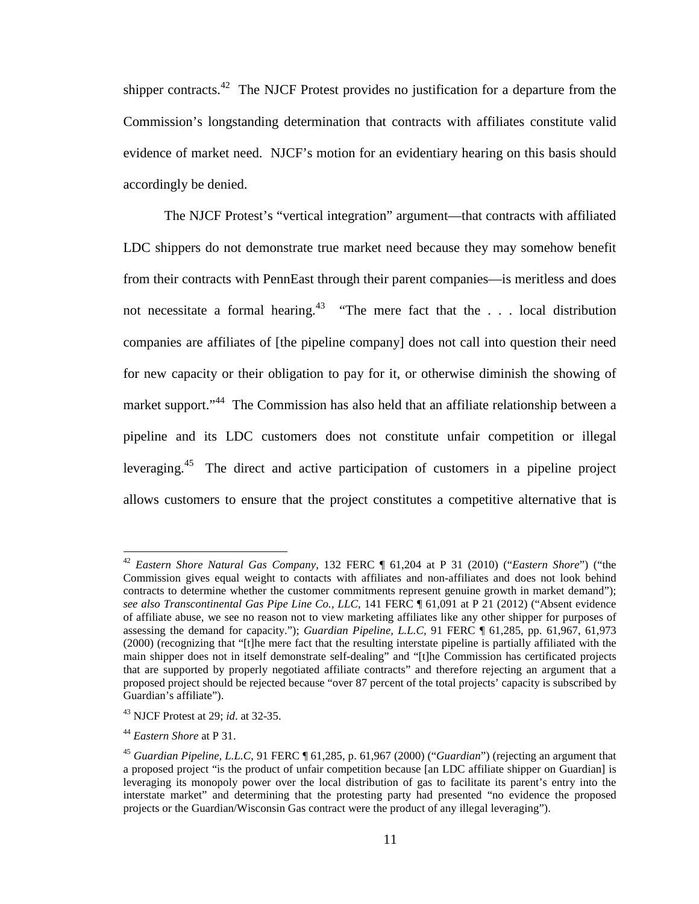shipper contracts.<sup>42</sup> The NJCF Protest provides no justification for a departure from the Commission's longstanding determination that contracts with affiliates constitute valid evidence of market need. NJCF's motion for an evidentiary hearing on this basis should accordingly be denied.

The NJCF Protest's "vertical integration" argument—that contracts with affiliated LDC shippers do not demonstrate true market need because they may somehow benefit from their contracts with PennEast through their parent companies—is meritless and does not necessitate a formal hearing.<sup>43</sup> "The mere fact that the . . . local distribution companies are affiliates of [the pipeline company] does not call into question their need for new capacity or their obligation to pay for it, or otherwise diminish the showing of market support."<sup>44</sup> The Commission has also held that an affiliate relationship between a pipeline and its LDC customers does not constitute unfair competition or illegal leveraging.<sup>45</sup> The direct and active participation of customers in a pipeline project allows customers to ensure that the project constitutes a competitive alternative that is

<sup>42</sup> *Eastern Shore Natural Gas Company*, 132 FERC ¶ 61,204 at P 31 (2010) ("*Eastern Shore*") ("the Commission gives equal weight to contacts with affiliates and non-affiliates and does not look behind contracts to determine whether the customer commitments represent genuine growth in market demand"); *see also Transcontinental Gas Pipe Line Co., LLC*, 141 FERC ¶ 61,091 at P 21 (2012) ("Absent evidence of affiliate abuse, we see no reason not to view marketing affiliates like any other shipper for purposes of assessing the demand for capacity."); *Guardian Pipeline, L.L.C,* 91 FERC ¶ 61,285, pp. 61,967, 61,973 (2000) (recognizing that "[t]he mere fact that the resulting interstate pipeline is partially affiliated with the main shipper does not in itself demonstrate self-dealing" and "[t]he Commission has certificated projects that are supported by properly negotiated affiliate contracts" and therefore rejecting an argument that a proposed project should be rejected because "over 87 percent of the total projects' capacity is subscribed by Guardian's affiliate").

<sup>43</sup> NJCF Protest at 29; *id*. at 32-35.

<sup>44</sup> *Eastern Shore* at P 31.

<sup>45</sup> *Guardian Pipeline, L.L.C*, 91 FERC ¶ 61,285, p. 61,967 (2000) ("*Guardian*") (rejecting an argument that a proposed project "is the product of unfair competition because [an LDC affiliate shipper on Guardian] is leveraging its monopoly power over the local distribution of gas to facilitate its parent's entry into the interstate market" and determining that the protesting party had presented "no evidence the proposed projects or the Guardian/Wisconsin Gas contract were the product of any illegal leveraging").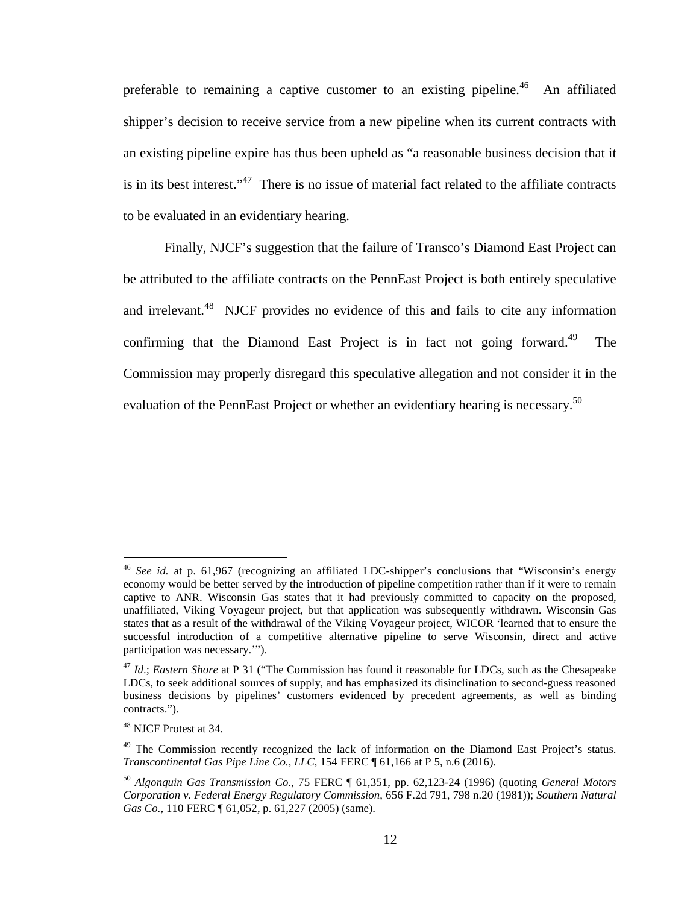preferable to remaining a captive customer to an existing pipeline.<sup>46</sup> An affiliated shipper's decision to receive service from a new pipeline when its current contracts with an existing pipeline expire has thus been upheld as "a reasonable business decision that it is in its best interest."<sup>47</sup> There is no issue of material fact related to the affiliate contracts to be evaluated in an evidentiary hearing.

Finally, NJCF's suggestion that the failure of Transco's Diamond East Project can be attributed to the affiliate contracts on the PennEast Project is both entirely speculative and irrelevant.<sup>48</sup> NJCF provides no evidence of this and fails to cite any information confirming that the Diamond East Project is in fact not going forward.<sup>49</sup> The Commission may properly disregard this speculative allegation and not consider it in the evaluation of the PennEast Project or whether an evidentiary hearing is necessary.<sup>50</sup>

<sup>46</sup> *See id.* at p. 61,967 (recognizing an affiliated LDC-shipper's conclusions that "Wisconsin's energy economy would be better served by the introduction of pipeline competition rather than if it were to remain captive to ANR. Wisconsin Gas states that it had previously committed to capacity on the proposed, unaffiliated, Viking Voyageur project, but that application was subsequently withdrawn. Wisconsin Gas states that as a result of the withdrawal of the Viking Voyageur project, WICOR 'learned that to ensure the successful introduction of a competitive alternative pipeline to serve Wisconsin, direct and active participation was necessary.'").

<sup>47</sup> *Id*.; *Eastern Shore* at P 31 ("The Commission has found it reasonable for LDCs, such as the Chesapeake LDCs, to seek additional sources of supply, and has emphasized its disinclination to second-guess reasoned business decisions by pipelines' customers evidenced by precedent agreements, as well as binding contracts.").

<sup>48</sup> NJCF Protest at 34.

<sup>&</sup>lt;sup>49</sup> The Commission recently recognized the lack of information on the Diamond East Project's status. *Transcontinental Gas Pipe Line Co., LLC*, 154 FERC ¶ 61,166 at P 5, n.6 (2016).

<sup>50</sup> *Algonquin Gas Transmission Co.*, 75 FERC ¶ 61,351, pp. 62,123-24 (1996) (quoting *General Motors Corporation v. Federal Energy Regulatory Commission*, 656 F.2d 791, 798 n.20 (1981)); *Southern Natural Gas Co.*, 110 FERC ¶ 61,052, p. 61,227 (2005) (same).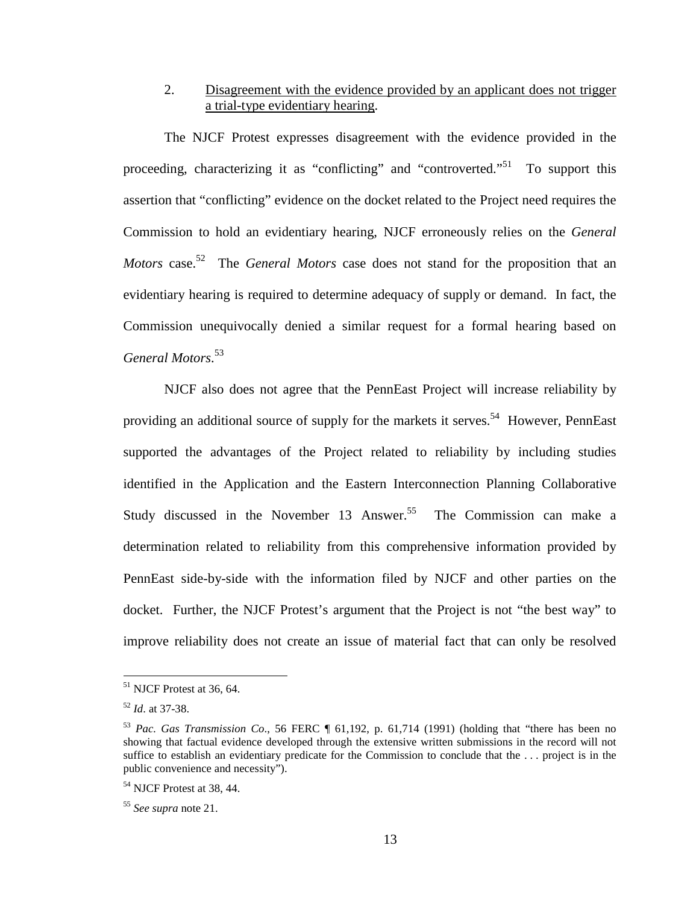# 2. Disagreement with the evidence provided by an applicant does not trigger a trial-type evidentiary hearing.

The NJCF Protest expresses disagreement with the evidence provided in the proceeding, characterizing it as "conflicting" and "controverted."<sup>51</sup> To support this assertion that "conflicting" evidence on the docket related to the Project need requires the Commission to hold an evidentiary hearing, NJCF erroneously relies on the *General Motors* case. <sup>52</sup> The *General Motors* case does not stand for the proposition that an evidentiary hearing is required to determine adequacy of supply or demand. In fact, the Commission unequivocally denied a similar request for a formal hearing based on *General Motors*. 53

NJCF also does not agree that the PennEast Project will increase reliability by providing an additional source of supply for the markets it serves.<sup>54</sup> However, PennEast supported the advantages of the Project related to reliability by including studies identified in the Application and the Eastern Interconnection Planning Collaborative Study discussed in the November 13 Answer.<sup>55</sup> The Commission can make a determination related to reliability from this comprehensive information provided by PennEast side-by-side with the information filed by NJCF and other parties on the docket. Further, the NJCF Protest's argument that the Project is not "the best way" to improve reliability does not create an issue of material fact that can only be resolved

 $51$  NJCF Protest at 36, 64.

<sup>52</sup> *Id*. at 37-38.

<sup>53</sup> *Pac. Gas Transmission Co*., 56 FERC ¶ 61,192, p. 61,714 (1991) (holding that "there has been no showing that factual evidence developed through the extensive written submissions in the record will not suffice to establish an evidentiary predicate for the Commission to conclude that the . . . project is in the public convenience and necessity").

<sup>54</sup> NJCF Protest at 38, 44.

<sup>55</sup> *See supra* note 21.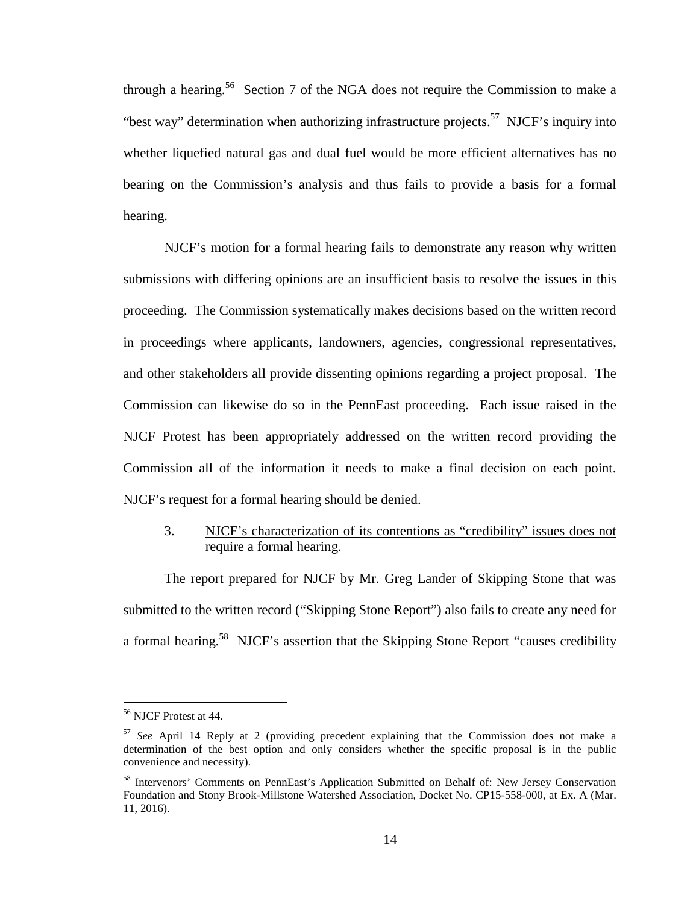through a hearing.<sup>56</sup> Section 7 of the NGA does not require the Commission to make a "best way" determination when authorizing infrastructure projects.<sup>57</sup> NJCF's inquiry into whether liquefied natural gas and dual fuel would be more efficient alternatives has no bearing on the Commission's analysis and thus fails to provide a basis for a formal hearing.

NJCF's motion for a formal hearing fails to demonstrate any reason why written submissions with differing opinions are an insufficient basis to resolve the issues in this proceeding. The Commission systematically makes decisions based on the written record in proceedings where applicants, landowners, agencies, congressional representatives, and other stakeholders all provide dissenting opinions regarding a project proposal. The Commission can likewise do so in the PennEast proceeding. Each issue raised in the NJCF Protest has been appropriately addressed on the written record providing the Commission all of the information it needs to make a final decision on each point. NJCF's request for a formal hearing should be denied.

### 3. NJCF's characterization of its contentions as "credibility" issues does not require a formal hearing.

The report prepared for NJCF by Mr. Greg Lander of Skipping Stone that was submitted to the written record ("Skipping Stone Report") also fails to create any need for a formal hearing.<sup>58</sup> NJCF's assertion that the Skipping Stone Report "causes credibility

<sup>56</sup> NJCF Protest at 44.

<sup>57</sup> *See* April 14 Reply at 2 (providing precedent explaining that the Commission does not make a determination of the best option and only considers whether the specific proposal is in the public convenience and necessity).

<sup>&</sup>lt;sup>58</sup> Intervenors' Comments on PennEast's Application Submitted on Behalf of: New Jersey Conservation Foundation and Stony Brook-Millstone Watershed Association, Docket No. CP15-558-000, at Ex. A (Mar. 11, 2016).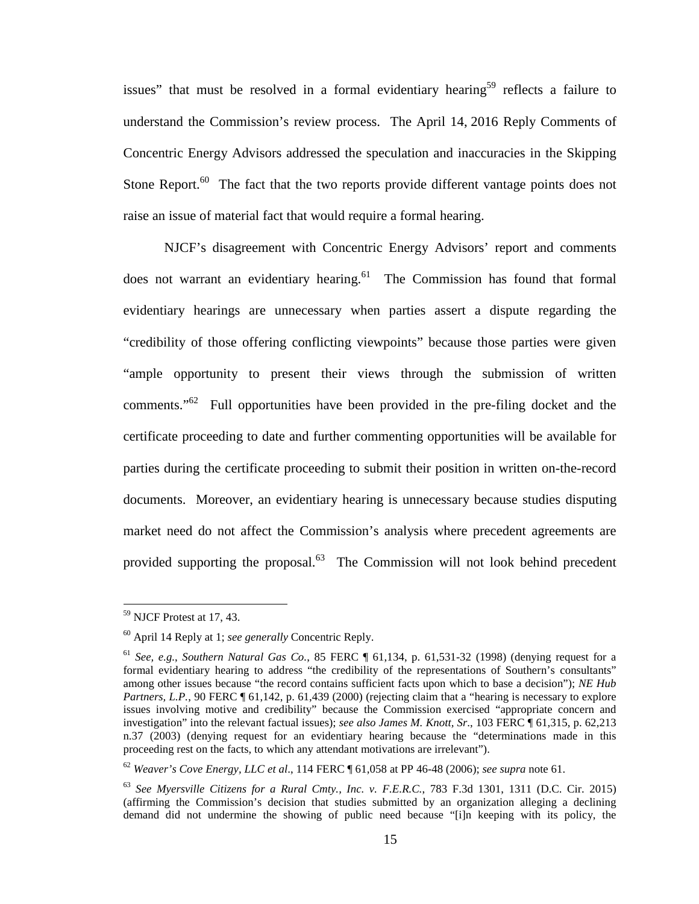issues" that must be resolved in a formal evidentiary hearing<sup>59</sup> reflects a failure to understand the Commission's review process. The April 14, 2016 Reply Comments of Concentric Energy Advisors addressed the speculation and inaccuracies in the Skipping Stone Report.<sup>60</sup> The fact that the two reports provide different vantage points does not raise an issue of material fact that would require a formal hearing.

NJCF's disagreement with Concentric Energy Advisors' report and comments does not warrant an evidentiary hearing. $61$  The Commission has found that formal evidentiary hearings are unnecessary when parties assert a dispute regarding the "credibility of those offering conflicting viewpoints" because those parties were given "ample opportunity to present their views through the submission of written comments."<sup>62</sup> Full opportunities have been provided in the pre-filing docket and the certificate proceeding to date and further commenting opportunities will be available for parties during the certificate proceeding to submit their position in written on-the-record documents. Moreover, an evidentiary hearing is unnecessary because studies disputing market need do not affect the Commission's analysis where precedent agreements are provided supporting the proposal. $63$  The Commission will not look behind precedent

<sup>59</sup> NJCF Protest at 17, 43.

<sup>60</sup> April 14 Reply at 1; *see generally* Concentric Reply.

<sup>61</sup> *See, e.g.*, *Southern Natural Gas Co.*, 85 FERC ¶ 61,134, p. 61,531-32 (1998) (denying request for a formal evidentiary hearing to address "the credibility of the representations of Southern's consultants" among other issues because "the record contains sufficient facts upon which to base a decision"); *NE Hub Partners, L.P.*, 90 FERC  $\parallel$  61,142, p. 61,439 (2000) (rejecting claim that a "hearing is necessary to explore issues involving motive and credibility" because the Commission exercised "appropriate concern and investigation" into the relevant factual issues); *see also James M. Knott, Sr*., 103 FERC ¶ 61,315, p. 62,213 n.37 (2003) (denying request for an evidentiary hearing because the "determinations made in this proceeding rest on the facts, to which any attendant motivations are irrelevant").

<sup>62</sup> *Weaver's Cove Energy, LLC et al*., 114 FERC ¶ 61,058 at PP 46-48 (2006); *see supra* note 61.

<sup>63</sup> *See Myersville Citizens for a Rural Cmty., Inc. v. F.E.R.C.*, 783 F.3d 1301, 1311 (D.C. Cir. 2015) (affirming the Commission's decision that studies submitted by an organization alleging a declining demand did not undermine the showing of public need because "[i]n keeping with its policy, the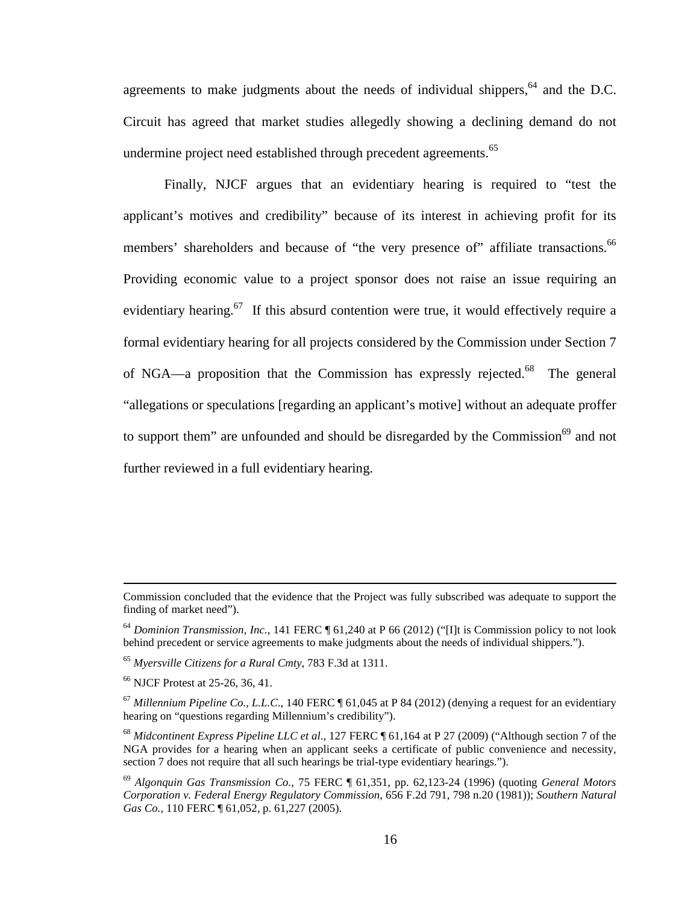agreements to make judgments about the needs of individual shippers, $64$  and the D.C. Circuit has agreed that market studies allegedly showing a declining demand do not undermine project need established through precedent agreements.<sup>65</sup>

Finally, NJCF argues that an evidentiary hearing is required to "test the applicant's motives and credibility" because of its interest in achieving profit for its members' shareholders and because of "the very presence of" affiliate transactions.<sup>66</sup> Providing economic value to a project sponsor does not raise an issue requiring an evidentiary hearing.<sup>67</sup> If this absurd contention were true, it would effectively require a formal evidentiary hearing for all projects considered by the Commission under Section 7 of NGA—a proposition that the Commission has expressly rejected.<sup>68</sup> The general "allegations or speculations [regarding an applicant's motive] without an adequate proffer to support them" are unfounded and should be disregarded by the Commission<sup>69</sup> and not further reviewed in a full evidentiary hearing.

Commission concluded that the evidence that the Project was fully subscribed was adequate to support the finding of market need").

<sup>64</sup> *Dominion Transmission, Inc.*, 141 FERC ¶ 61,240 at P 66 (2012) ("[I]t is Commission policy to not look behind precedent or service agreements to make judgments about the needs of individual shippers.").

<sup>65</sup> *Myersville Citizens for a Rural Cmty*, 783 F.3d at 1311.

<sup>66</sup> NJCF Protest at 25-26, 36, 41.

 $^{67}$  *Millennium Pipeline Co., L.L.C.*, 140 FERC  $\P$  61,045 at P 84 (2012) (denying a request for an evidentiary hearing on "questions regarding Millennium's credibility").

<sup>68</sup> *Midcontinent Express Pipeline LLC et al*., 127 FERC ¶ 61,164 at P 27 (2009) ("Although section 7 of the NGA provides for a hearing when an applicant seeks a certificate of public convenience and necessity, section 7 does not require that all such hearings be trial-type evidentiary hearings.").

<sup>69</sup> *Algonquin Gas Transmission Co.*, 75 FERC ¶ 61,351, pp. 62,123-24 (1996) (quoting *General Motors Corporation v. Federal Energy Regulatory Commission*, 656 F.2d 791, 798 n.20 (1981)); *Southern Natural Gas Co.*, 110 FERC ¶ 61,052, p. 61,227 (2005).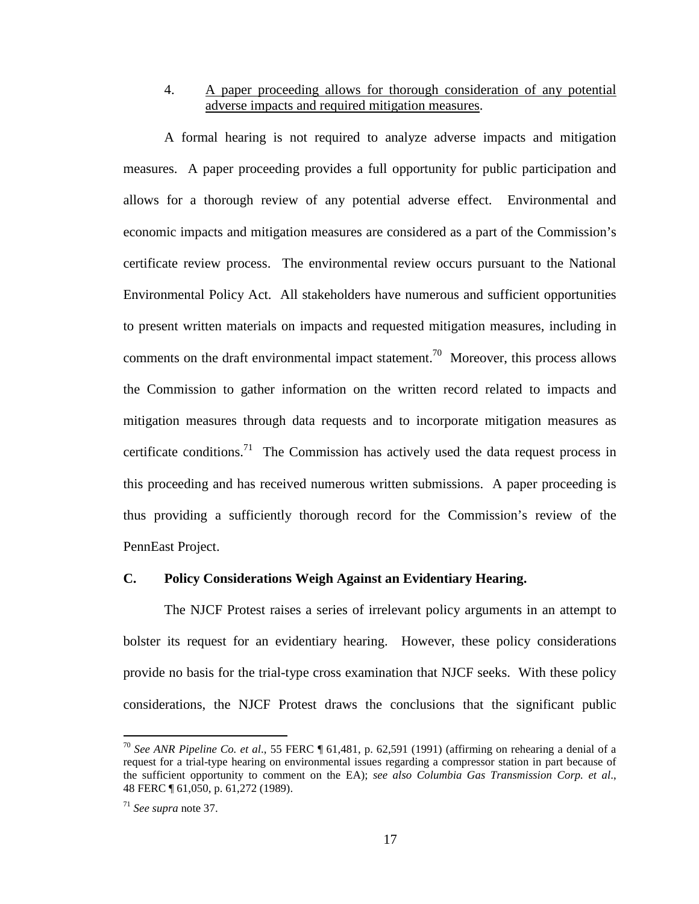### 4. A paper proceeding allows for thorough consideration of any potential adverse impacts and required mitigation measures.

A formal hearing is not required to analyze adverse impacts and mitigation measures. A paper proceeding provides a full opportunity for public participation and allows for a thorough review of any potential adverse effect. Environmental and economic impacts and mitigation measures are considered as a part of the Commission's certificate review process. The environmental review occurs pursuant to the National Environmental Policy Act. All stakeholders have numerous and sufficient opportunities to present written materials on impacts and requested mitigation measures, including in comments on the draft environmental impact statement.<sup>70</sup> Moreover, this process allows the Commission to gather information on the written record related to impacts and mitigation measures through data requests and to incorporate mitigation measures as certificate conditions.<sup>71</sup> The Commission has actively used the data request process in this proceeding and has received numerous written submissions. A paper proceeding is thus providing a sufficiently thorough record for the Commission's review of the PennEast Project.

#### **C. Policy Considerations Weigh Against an Evidentiary Hearing.**

The NJCF Protest raises a series of irrelevant policy arguments in an attempt to bolster its request for an evidentiary hearing. However, these policy considerations provide no basis for the trial-type cross examination that NJCF seeks. With these policy considerations, the NJCF Protest draws the conclusions that the significant public

<sup>70</sup> *See ANR Pipeline Co. et al*., 55 FERC ¶ 61,481, p. 62,591 (1991) (affirming on rehearing a denial of a request for a trial-type hearing on environmental issues regarding a compressor station in part because of the sufficient opportunity to comment on the EA); *see also Columbia Gas Transmission Corp. et al*., 48 FERC ¶ 61,050, p. 61,272 (1989).

<sup>71</sup> *See supra* note 37.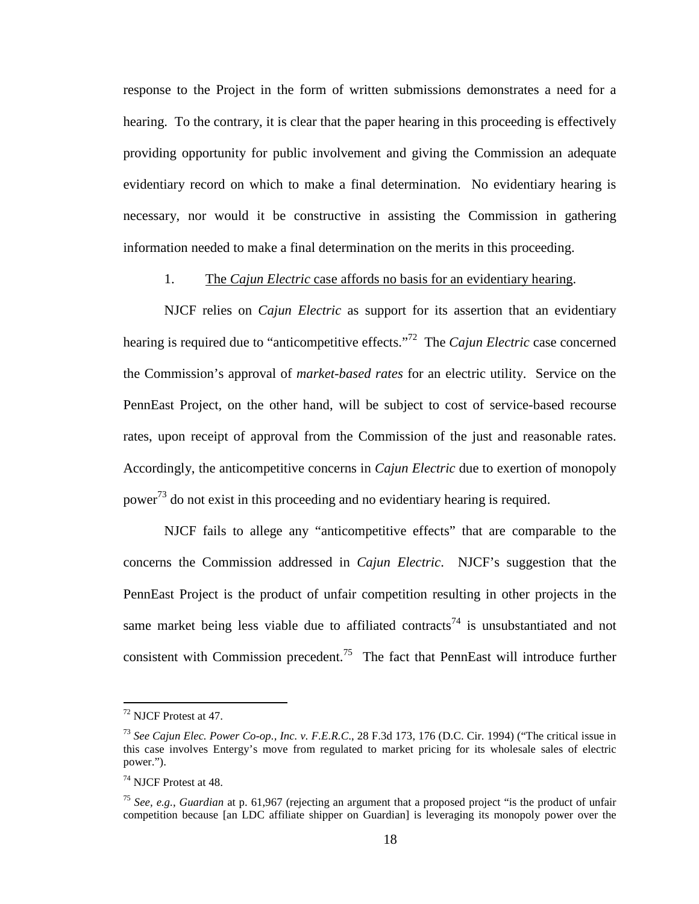response to the Project in the form of written submissions demonstrates a need for a hearing. To the contrary, it is clear that the paper hearing in this proceeding is effectively providing opportunity for public involvement and giving the Commission an adequate evidentiary record on which to make a final determination. No evidentiary hearing is necessary, nor would it be constructive in assisting the Commission in gathering information needed to make a final determination on the merits in this proceeding.

#### 1. The *Cajun Electric* case affords no basis for an evidentiary hearing.

NJCF relies on *Cajun Electric* as support for its assertion that an evidentiary hearing is required due to "anticompetitive effects."<sup>72</sup> The *Cajun Electric* case concerned the Commission's approval of *market-based rates* for an electric utility. Service on the PennEast Project, on the other hand, will be subject to cost of service-based recourse rates, upon receipt of approval from the Commission of the just and reasonable rates. Accordingly, the anticompetitive concerns in *Cajun Electric* due to exertion of monopoly power<sup>73</sup> do not exist in this proceeding and no evidentiary hearing is required.

NJCF fails to allege any "anticompetitive effects" that are comparable to the concerns the Commission addressed in *Cajun Electric*. NJCF's suggestion that the PennEast Project is the product of unfair competition resulting in other projects in the same market being less viable due to affiliated contracts<sup>74</sup> is unsubstantiated and not consistent with Commission precedent.<sup>75</sup> The fact that PennEast will introduce further

<sup>72</sup> NJCF Protest at 47.

<sup>73</sup> *See Cajun Elec. Power Co-op., Inc. v. F.E.R.C*., 28 F.3d 173, 176 (D.C. Cir. 1994) ("The critical issue in this case involves Entergy's move from regulated to market pricing for its wholesale sales of electric power.").

<sup>74</sup> NJCF Protest at 48.

<sup>75</sup> *See, e.g.*, *Guardian* at p. 61,967 (rejecting an argument that a proposed project "is the product of unfair competition because [an LDC affiliate shipper on Guardian] is leveraging its monopoly power over the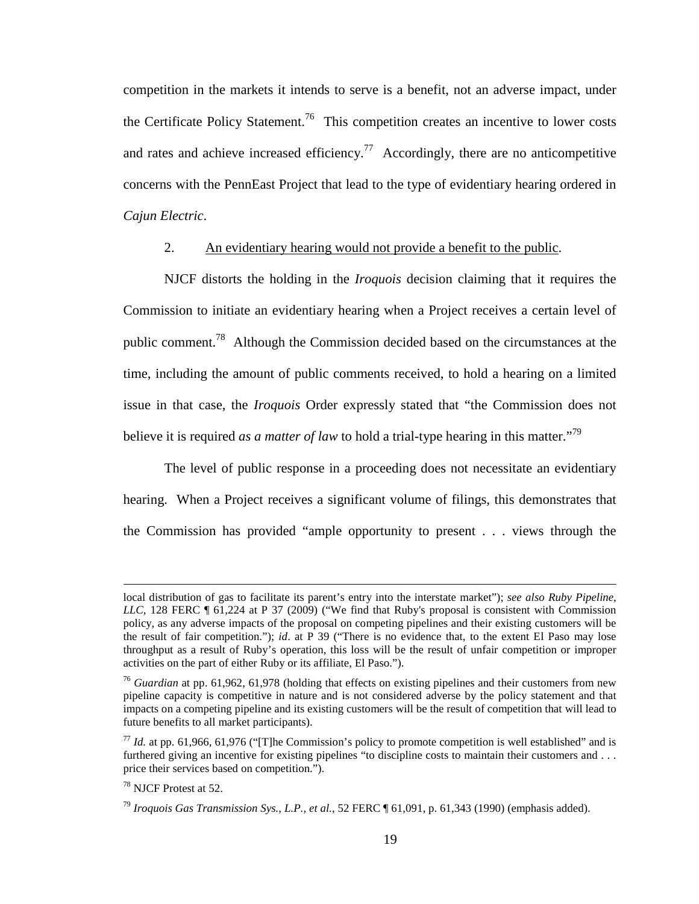competition in the markets it intends to serve is a benefit, not an adverse impact, under the Certificate Policy Statement.<sup>76</sup> This competition creates an incentive to lower costs and rates and achieve increased efficiency.<sup>77</sup> Accordingly, there are no anticompetitive concerns with the PennEast Project that lead to the type of evidentiary hearing ordered in *Cajun Electric*.

#### 2. An evidentiary hearing would not provide a benefit to the public.

NJCF distorts the holding in the *Iroquois* decision claiming that it requires the Commission to initiate an evidentiary hearing when a Project receives a certain level of public comment.<sup>78</sup> Although the Commission decided based on the circumstances at the time, including the amount of public comments received, to hold a hearing on a limited issue in that case, the *Iroquois* Order expressly stated that "the Commission does not believe it is required *as a matter of law* to hold a trial-type hearing in this matter.<sup>79</sup>

The level of public response in a proceeding does not necessitate an evidentiary hearing. When a Project receives a significant volume of filings, this demonstrates that the Commission has provided "ample opportunity to present . . . views through the

local distribution of gas to facilitate its parent's entry into the interstate market"); *see also Ruby Pipeline, LLC*, 128 FERC ¶ 61,224 at P 37 (2009) ("We find that Ruby's proposal is consistent with Commission policy, as any adverse impacts of the proposal on competing pipelines and their existing customers will be the result of fair competition."); *id*. at P 39 ("There is no evidence that, to the extent El Paso may lose throughput as a result of Ruby's operation, this loss will be the result of unfair competition or improper activities on the part of either Ruby or its affiliate, El Paso.").

<sup>&</sup>lt;sup>76</sup> *Guardian* at pp. 61,962, 61,978 (holding that effects on existing pipelines and their customers from new pipeline capacity is competitive in nature and is not considered adverse by the policy statement and that impacts on a competing pipeline and its existing customers will be the result of competition that will lead to future benefits to all market participants).

 $^{77}$  *Id.* at pp. 61,966, 61,976 ("The Commission's policy to promote competition is well established" and is furthered giving an incentive for existing pipelines "to discipline costs to maintain their customers and . . . price their services based on competition.").

<sup>78</sup> NJCF Protest at 52.

<sup>79</sup> *Iroquois Gas Transmission Sys., L.P., et al.*, 52 FERC ¶ 61,091, p. 61,343 (1990) (emphasis added).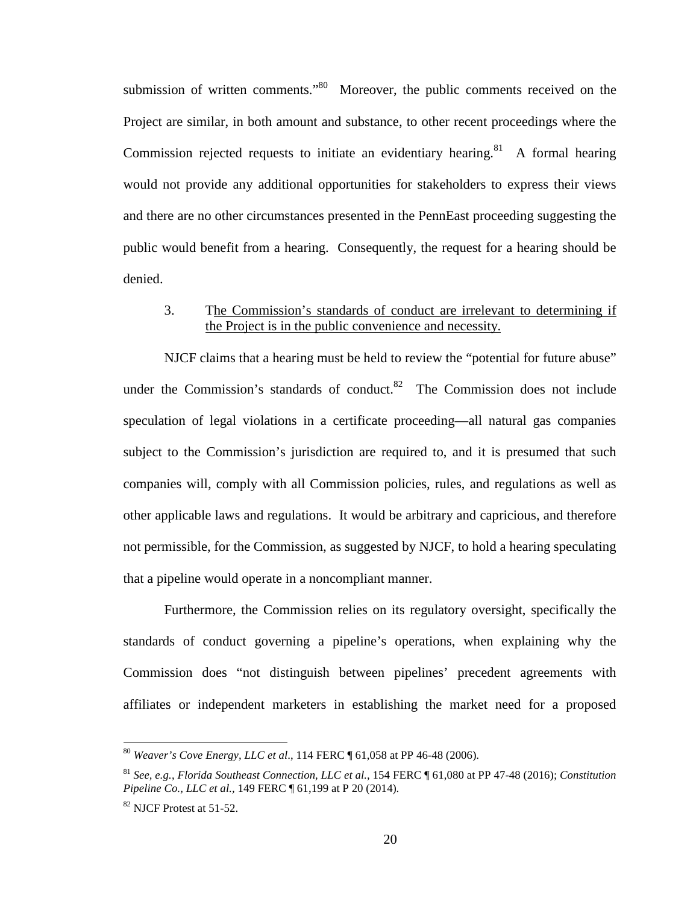submission of written comments."<sup>80</sup> Moreover, the public comments received on the Project are similar, in both amount and substance, to other recent proceedings where the Commission rejected requests to initiate an evidentiary hearing.<sup>81</sup> A formal hearing would not provide any additional opportunities for stakeholders to express their views and there are no other circumstances presented in the PennEast proceeding suggesting the public would benefit from a hearing. Consequently, the request for a hearing should be denied.

### 3. The Commission's standards of conduct are irrelevant to determining if the Project is in the public convenience and necessity.

NJCF claims that a hearing must be held to review the "potential for future abuse" under the Commission's standards of conduct. $82$  The Commission does not include speculation of legal violations in a certificate proceeding—all natural gas companies subject to the Commission's jurisdiction are required to, and it is presumed that such companies will, comply with all Commission policies, rules, and regulations as well as other applicable laws and regulations. It would be arbitrary and capricious, and therefore not permissible, for the Commission, as suggested by NJCF, to hold a hearing speculating that a pipeline would operate in a noncompliant manner.

Furthermore, the Commission relies on its regulatory oversight, specifically the standards of conduct governing a pipeline's operations, when explaining why the Commission does "not distinguish between pipelines' precedent agreements with affiliates or independent marketers in establishing the market need for a proposed

<sup>80</sup> *Weaver's Cove Energy, LLC et al*., 114 FERC ¶ 61,058 at PP 46-48 (2006).

<sup>81</sup> *See, e.g.*, *Florida Southeast Connection, LLC et al.*, 154 FERC ¶ 61,080 at PP 47-48 (2016); *Constitution Pipeline Co., LLC et al.,* 149 FERC ¶ 61,199 at P 20 (2014).

 $82$  NJCF Protest at 51-52.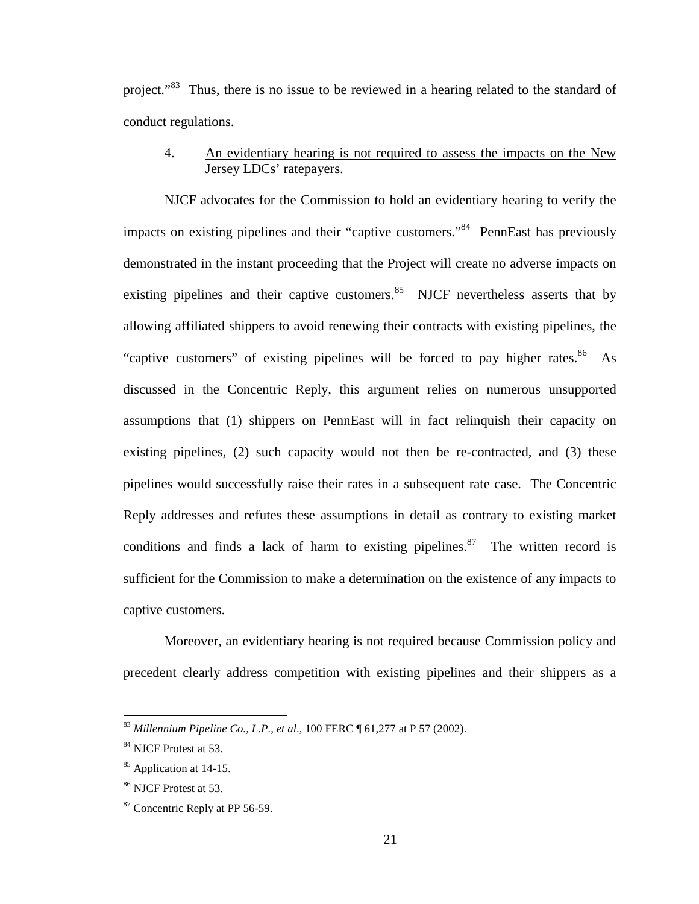project."<sup>83</sup> Thus, there is no issue to be reviewed in a hearing related to the standard of conduct regulations.

# 4. An evidentiary hearing is not required to assess the impacts on the New Jersey LDCs' ratepayers.

NJCF advocates for the Commission to hold an evidentiary hearing to verify the impacts on existing pipelines and their "captive customers."<sup>84</sup> PennEast has previously demonstrated in the instant proceeding that the Project will create no adverse impacts on existing pipelines and their captive customers. $85$  NJCF nevertheless asserts that by allowing affiliated shippers to avoid renewing their contracts with existing pipelines, the "captive customers" of existing pipelines will be forced to pay higher rates. $86$  As discussed in the Concentric Reply, this argument relies on numerous unsupported assumptions that (1) shippers on PennEast will in fact relinquish their capacity on existing pipelines, (2) such capacity would not then be re-contracted, and (3) these pipelines would successfully raise their rates in a subsequent rate case. The Concentric Reply addresses and refutes these assumptions in detail as contrary to existing market conditions and finds a lack of harm to existing pipelines.<sup>87</sup> The written record is sufficient for the Commission to make a determination on the existence of any impacts to captive customers.

Moreover, an evidentiary hearing is not required because Commission policy and precedent clearly address competition with existing pipelines and their shippers as a

<sup>83</sup> *Millennium Pipeline Co., L.P., et al*., 100 FERC ¶ 61,277 at P 57 (2002).

<sup>84</sup> NJCF Protest at 53.

<sup>&</sup>lt;sup>85</sup> Application at 14-15.

<sup>86</sup> NJCF Protest at 53.

<sup>&</sup>lt;sup>87</sup> Concentric Reply at PP 56-59.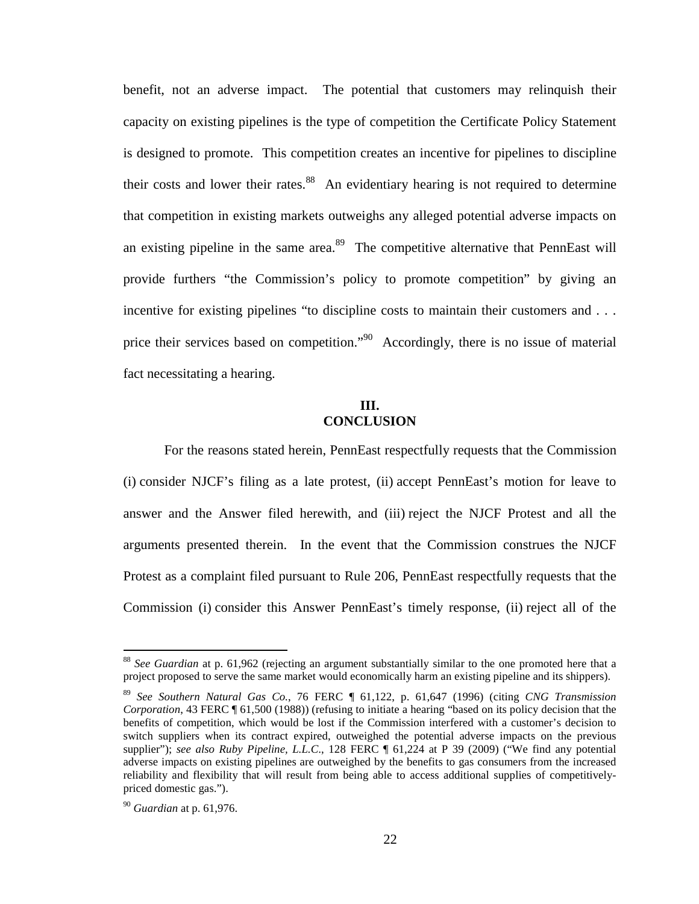benefit, not an adverse impact. The potential that customers may relinquish their capacity on existing pipelines is the type of competition the Certificate Policy Statement is designed to promote. This competition creates an incentive for pipelines to discipline their costs and lower their rates. $88$  An evidentiary hearing is not required to determine that competition in existing markets outweighs any alleged potential adverse impacts on an existing pipeline in the same area.<sup>89</sup> The competitive alternative that PennEast will provide furthers "the Commission's policy to promote competition" by giving an incentive for existing pipelines "to discipline costs to maintain their customers and . . . price their services based on competition."<sup>90</sup> Accordingly, there is no issue of material fact necessitating a hearing.

#### **III. CONCLUSION**

For the reasons stated herein, PennEast respectfully requests that the Commission (i) consider NJCF's filing as a late protest, (ii) accept PennEast's motion for leave to answer and the Answer filed herewith, and (iii) reject the NJCF Protest and all the arguments presented therein. In the event that the Commission construes the NJCF Protest as a complaint filed pursuant to Rule 206, PennEast respectfully requests that the Commission (i) consider this Answer PennEast's timely response, (ii) reject all of the

<sup>88</sup> *See Guardian* at p. 61,962 (rejecting an argument substantially similar to the one promoted here that a project proposed to serve the same market would economically harm an existing pipeline and its shippers).

<sup>89</sup> *See Southern Natural Gas Co.*, 76 FERC ¶ 61,122, p. 61,647 (1996) (citing *CNG Transmission Corporation*, 43 FERC ¶ 61,500 (1988)) (refusing to initiate a hearing "based on its policy decision that the benefits of competition, which would be lost if the Commission interfered with a customer's decision to switch suppliers when its contract expired, outweighed the potential adverse impacts on the previous supplier"); *see also Ruby Pipeline, L.L.C*., 128 FERC ¶ 61,224 at P 39 (2009) ("We find any potential adverse impacts on existing pipelines are outweighed by the benefits to gas consumers from the increased reliability and flexibility that will result from being able to access additional supplies of competitivelypriced domestic gas.").

<sup>90</sup> *Guardian* at p. 61,976.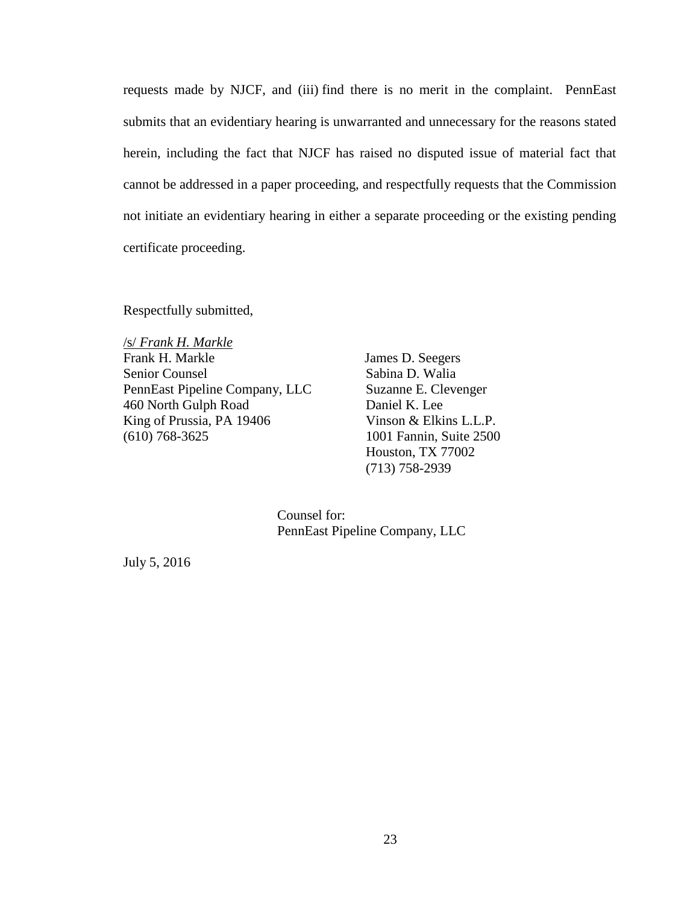requests made by NJCF, and (iii) find there is no merit in the complaint. PennEast submits that an evidentiary hearing is unwarranted and unnecessary for the reasons stated herein, including the fact that NJCF has raised no disputed issue of material fact that cannot be addressed in a paper proceeding, and respectfully requests that the Commission not initiate an evidentiary hearing in either a separate proceeding or the existing pending certificate proceeding.

Respectfully submitted,

/s/ *Frank H. Markle* Frank H. Markle Senior Counsel PennEast Pipeline Company, LLC 460 North Gulph Road King of Prussia, PA 19406 (610) 768-3625

James D. Seegers Sabina D. Walia Suzanne E. Clevenger Daniel K. Lee Vinson & Elkins L.L.P. 1001 Fannin, Suite 2500 Houston, TX 77002 (713) 758-2939

Counsel for: PennEast Pipeline Company, LLC

July 5, 2016